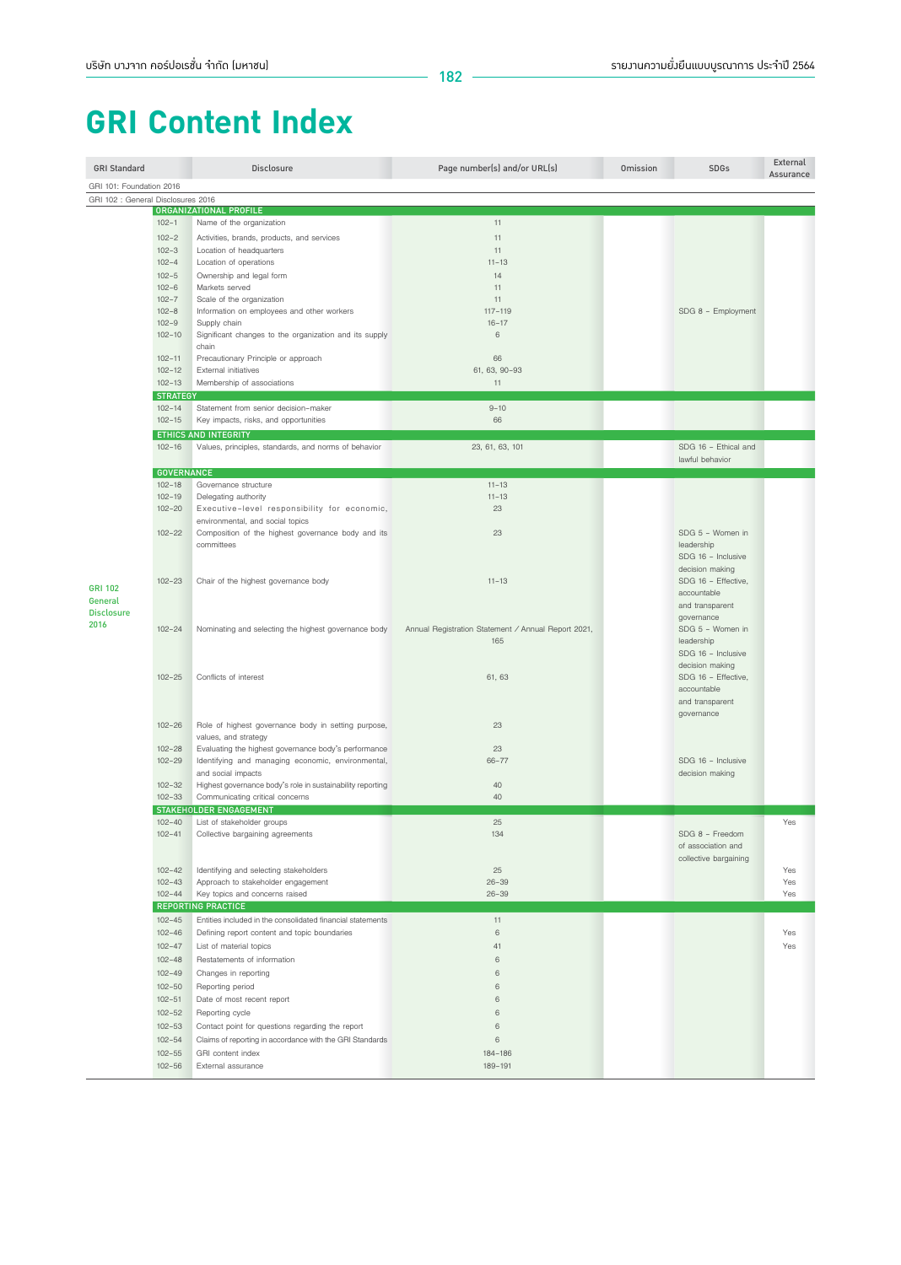## **GRI Content Index**

| <b>GRI Standard</b>                |                          | <b>Disclosure</b>                                                            | Page number(s) and/or URL(s)                        | Omission | <b>SDGs</b>                    | External<br>Assurance |
|------------------------------------|--------------------------|------------------------------------------------------------------------------|-----------------------------------------------------|----------|--------------------------------|-----------------------|
| GRI 101: Foundation 2016           |                          |                                                                              |                                                     |          |                                |                       |
| GRI 102 : General Disclosures 2016 |                          | ORGANIZATIONAL PROFILE                                                       |                                                     |          |                                |                       |
|                                    | $102 - 1$                | Name of the organization                                                     | 11                                                  |          |                                |                       |
|                                    | $102 - 2$                | Activities, brands, products, and services                                   | 11                                                  |          |                                |                       |
|                                    | $102 - 3$                |                                                                              | 11                                                  |          |                                |                       |
|                                    | $102 - 4$                | Location of headquarters<br>Location of operations                           | $11 - 13$                                           |          |                                |                       |
|                                    | $102 - 5$                | Ownership and legal form                                                     | 14                                                  |          |                                |                       |
|                                    | $102 - 6$                | Markets served                                                               | 11                                                  |          |                                |                       |
|                                    | $102 - 7$                | Scale of the organization                                                    | 11                                                  |          |                                |                       |
|                                    | $102 - 8$                | Information on employees and other workers                                   | $117 - 119$                                         |          | SDG 8 - Employment             |                       |
|                                    | $102 - 9$                | Supply chain                                                                 | $16 - 17$                                           |          |                                |                       |
|                                    | $102 - 10$               | Significant changes to the organization and its supply                       | 6                                                   |          |                                |                       |
|                                    |                          | chain                                                                        |                                                     |          |                                |                       |
|                                    | $102 - 11$               | Precautionary Principle or approach                                          | 66                                                  |          |                                |                       |
|                                    | $102 - 12$<br>$102 - 13$ | External initiatives                                                         | 61, 63, 90-93                                       |          |                                |                       |
|                                    | <b>STRATEGY</b>          | Membership of associations                                                   | 11                                                  |          |                                |                       |
|                                    | $102 - 14$               | Statement from senior decision-maker                                         | $9 - 10$                                            |          |                                |                       |
|                                    | $102 - 15$               | Key impacts, risks, and opportunities                                        | 66                                                  |          |                                |                       |
|                                    |                          | ETHICS AND INTEGRITY                                                         |                                                     |          |                                |                       |
|                                    | $102 - 16$               | Values, principles, standards, and norms of behavior                         | 23, 61, 63, 101                                     |          | SDG 16 - Ethical and           |                       |
|                                    |                          |                                                                              |                                                     |          | lawful behavior                |                       |
|                                    | <b>GOVERNANCE</b>        |                                                                              |                                                     |          |                                |                       |
|                                    | $102 - 18$               | Governance structure                                                         | $11 - 13$                                           |          |                                |                       |
|                                    | $102 - 19$               | Delegating authority                                                         | $11 - 13$                                           |          |                                |                       |
|                                    | $102 - 20$               | Executive-level responsibility for economic,                                 | 23                                                  |          |                                |                       |
|                                    |                          | environmental, and social topics                                             |                                                     |          |                                |                       |
|                                    | $102 - 22$               | Composition of the highest governance body and its                           | 23                                                  |          | SDG 5 - Women in               |                       |
|                                    |                          | committees                                                                   |                                                     |          | leadership                     |                       |
|                                    |                          |                                                                              |                                                     |          | SDG 16 - Inclusive             |                       |
|                                    |                          |                                                                              |                                                     |          | decision making                |                       |
| <b>GRI 102</b>                     | $102 - 23$               | Chair of the highest governance body                                         | $11 - 13$                                           |          | SDG 16 - Effective,            |                       |
| General                            |                          |                                                                              |                                                     |          | accountable<br>and transparent |                       |
| <b>Disclosure</b>                  |                          |                                                                              |                                                     |          | governance                     |                       |
| 2016                               | $102 - 24$               | Nominating and selecting the highest governance body                         | Annual Registration Statement / Annual Report 2021, |          | SDG 5 - Women in               |                       |
|                                    |                          |                                                                              | 165                                                 |          | leadership                     |                       |
|                                    |                          |                                                                              |                                                     |          | SDG 16 - Inclusive             |                       |
|                                    |                          |                                                                              |                                                     |          | decision making                |                       |
|                                    | $102 - 25$               | Conflicts of interest                                                        | 61, 63                                              |          | SDG 16 - Effective,            |                       |
|                                    |                          |                                                                              |                                                     |          | accountable                    |                       |
|                                    |                          |                                                                              |                                                     |          | and transparent                |                       |
|                                    |                          |                                                                              |                                                     |          | governance                     |                       |
|                                    | $102 - 26$               | Role of highest governance body in setting purpose,                          | 23                                                  |          |                                |                       |
|                                    | $102 - 28$               | values, and strategy<br>Evaluating the highest governance body's performance | 23                                                  |          |                                |                       |
|                                    | $102 - 29$               | Identifying and managing economic, environmental,                            | 66-77                                               |          | SDG 16 - Inclusive             |                       |
|                                    |                          | and social impacts                                                           |                                                     |          | decision making                |                       |
|                                    | $102 - 32$               | Highest governance body's role in sustainability reporting                   | 40                                                  |          |                                |                       |
|                                    | $102 - 33$               | Communicating critical concerns                                              | 40                                                  |          |                                |                       |
|                                    |                          | STAKEHOLDER ENGAGEMENT                                                       |                                                     |          |                                |                       |
|                                    | $102 - 40$               | List of stakeholder groups                                                   | 25                                                  |          |                                | Yes                   |
|                                    | $102 - 41$               | Collective bargaining agreements                                             | 134                                                 |          | SDG 8 - Freedom                |                       |
|                                    |                          |                                                                              |                                                     |          | of association and             |                       |
|                                    |                          |                                                                              |                                                     |          | collective bargaining          |                       |
|                                    | $102 - 42$               | Identifying and selecting stakeholders                                       | 25                                                  |          |                                | Yes                   |
|                                    | $102 - 43$<br>$102 - 44$ | Approach to stakeholder engagement<br>Key topics and concerns raised         | $26 - 39$<br>$26 - 39$                              |          |                                | Yes<br>Yes            |
|                                    |                          | <b>REPORTING PRACTICE</b>                                                    |                                                     |          |                                |                       |
|                                    | $102 - 45$               | Entities included in the consolidated financial statements                   | 11                                                  |          |                                |                       |
|                                    | $102 - 46$               | Defining report content and topic boundaries                                 | $\,$ 6 $\,$                                         |          |                                | Yes                   |
|                                    | $102 - 47$               | List of material topics                                                      | 41                                                  |          |                                | Yes                   |
|                                    | $102 - 48$               | Restatements of information                                                  | $\,6\,$                                             |          |                                |                       |
|                                    | $102 - 49$               | Changes in reporting                                                         | 6                                                   |          |                                |                       |
|                                    | $102 - 50$               | Reporting period                                                             | 6                                                   |          |                                |                       |
|                                    | $102 - 51$               |                                                                              | $\,$ 6                                              |          |                                |                       |
|                                    |                          | Date of most recent report                                                   |                                                     |          |                                |                       |
|                                    | $102 - 52$               | Reporting cycle                                                              | 6                                                   |          |                                |                       |
|                                    | $102 - 53$               | Contact point for questions regarding the report                             | $\,6$                                               |          |                                |                       |
|                                    | $102 - 54$               | Claims of reporting in accordance with the GRI Standards                     | $\,6\,$                                             |          |                                |                       |
|                                    | $102 - 55$               | GRI content index                                                            | 184-186                                             |          |                                |                       |
|                                    | $102 - 56$               | External assurance                                                           | 189-191                                             |          |                                |                       |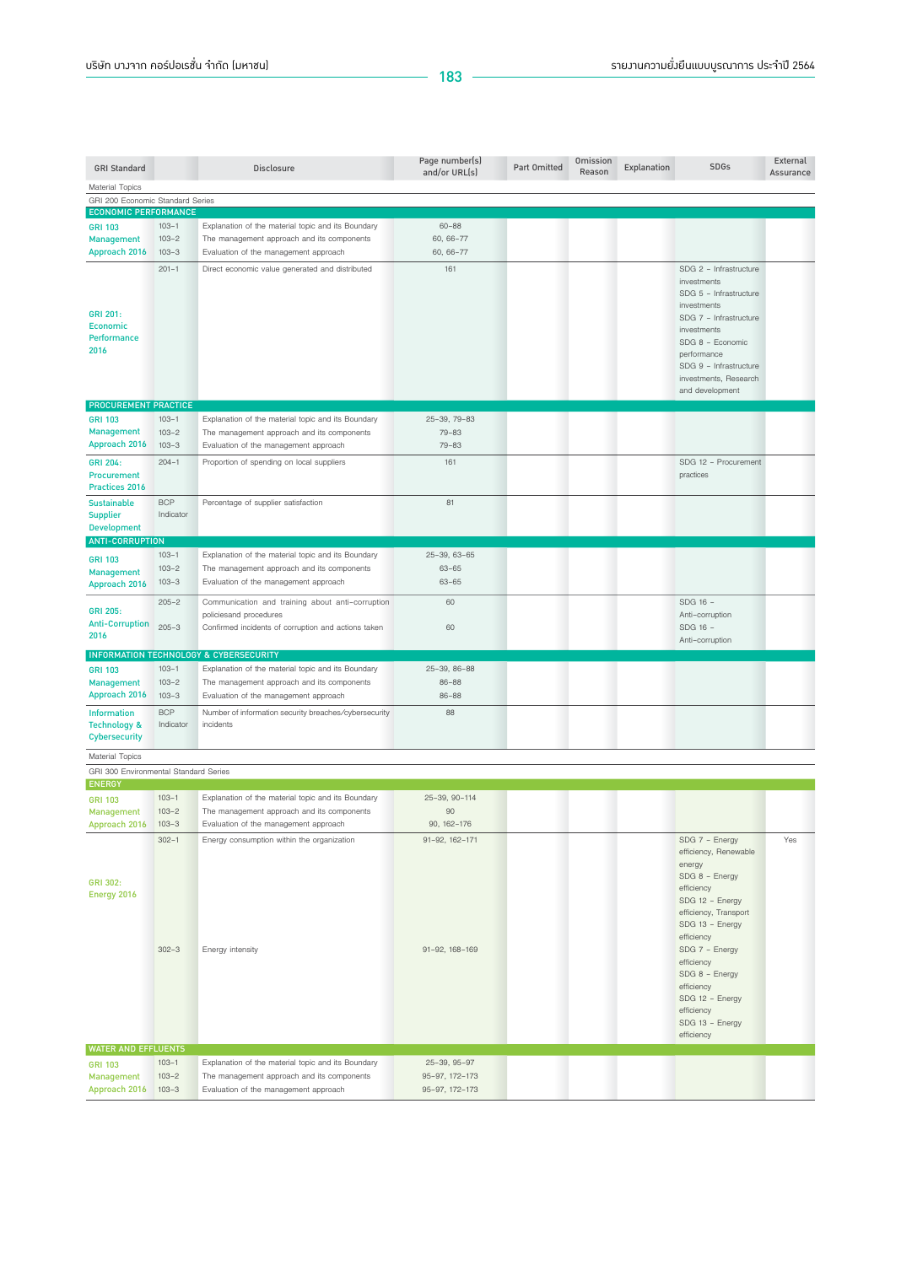| <b>GRI Standard</b>                                             |                        | Disclosure                                                                                   | Page number(s)<br>and/or URL(s) | Part Omitted | Omission<br>Reason | Explanation | <b>SDGs</b>                           | External<br>Assurance |
|-----------------------------------------------------------------|------------------------|----------------------------------------------------------------------------------------------|---------------------------------|--------------|--------------------|-------------|---------------------------------------|-----------------------|
| <b>Material Topics</b>                                          |                        |                                                                                              |                                 |              |                    |             |                                       |                       |
| GRI 200 Economic Standard Series                                |                        |                                                                                              |                                 |              |                    |             |                                       |                       |
| <b>ECONOMIC PERFORMANCE</b>                                     |                        |                                                                                              |                                 |              |                    |             |                                       |                       |
| <b>GRI 103</b>                                                  | $103 - 1$              | Explanation of the material topic and its Boundary                                           | $60 - 88$                       |              |                    |             |                                       |                       |
| <b>Management</b><br>Approach 2016                              | $103 - 2$<br>$103 - 3$ | The management approach and its components                                                   | 60, 66-77<br>60, 66-77          |              |                    |             |                                       |                       |
|                                                                 |                        | Evaluation of the management approach                                                        |                                 |              |                    |             |                                       |                       |
|                                                                 | $201 - 1$              | Direct economic value generated and distributed                                              | 161                             |              |                    |             | SDG 2 - Infrastructure<br>investments |                       |
|                                                                 |                        |                                                                                              |                                 |              |                    |             | SDG 5 - Infrastructure                |                       |
|                                                                 |                        |                                                                                              |                                 |              |                    |             | investments                           |                       |
| GRI 201:                                                        |                        |                                                                                              |                                 |              |                    |             | SDG 7 - Infrastructure                |                       |
| <b>Economic</b><br>Performance                                  |                        |                                                                                              |                                 |              |                    |             | investments                           |                       |
| 2016                                                            |                        |                                                                                              |                                 |              |                    |             | SDG 8 - Economic                      |                       |
|                                                                 |                        |                                                                                              |                                 |              |                    |             | performance<br>SDG 9 - Infrastructure |                       |
|                                                                 |                        |                                                                                              |                                 |              |                    |             | investments, Research                 |                       |
|                                                                 |                        |                                                                                              |                                 |              |                    |             | and development                       |                       |
| <b>PROCUREMENT PRACTICE</b>                                     |                        |                                                                                              |                                 |              |                    |             |                                       |                       |
| <b>GRI 103</b>                                                  | $103 - 1$              | Explanation of the material topic and its Boundary                                           | 25-39, 79-83                    |              |                    |             |                                       |                       |
| <b>Management</b>                                               | $103 - 2$              | The management approach and its components                                                   | $79 - 83$                       |              |                    |             |                                       |                       |
| Approach 2016                                                   | $103 - 3$              | Evaluation of the management approach                                                        | $79 - 83$                       |              |                    |             |                                       |                       |
| GRI 204:                                                        | $204 - 1$              | Proportion of spending on local suppliers                                                    | 161                             |              |                    |             | SDG 12 - Procurement                  |                       |
| Procurement                                                     |                        |                                                                                              |                                 |              |                    |             | practices                             |                       |
| <b>Practices 2016</b>                                           |                        |                                                                                              |                                 |              |                    |             |                                       |                       |
| <b>Sustainable</b>                                              | <b>BCP</b>             | Percentage of supplier satisfaction                                                          | 81                              |              |                    |             |                                       |                       |
| <b>Supplier</b>                                                 | Indicator              |                                                                                              |                                 |              |                    |             |                                       |                       |
| <b>Development</b>                                              |                        |                                                                                              |                                 |              |                    |             |                                       |                       |
| <b>ANTI-CORRUPTION</b>                                          |                        |                                                                                              |                                 |              |                    |             |                                       |                       |
| <b>GRI 103</b>                                                  | $103 - 1$              | Explanation of the material topic and its Boundary                                           | 25-39, 63-65                    |              |                    |             |                                       |                       |
| <b>Management</b>                                               | $103 - 2$<br>$103 - 3$ | The management approach and its components<br>Evaluation of the management approach          | $63 - 65$<br>$63 - 65$          |              |                    |             |                                       |                       |
| Approach 2016                                                   |                        |                                                                                              |                                 |              |                    |             |                                       |                       |
|                                                                 | $205 - 2$              | Communication and training about anti-corruption                                             | 60                              |              |                    |             | SDG 16 -                              |                       |
| <b>GRI 205:</b><br><b>Anti-Corruption</b>                       |                        | policiesand procedures                                                                       |                                 |              |                    |             | Anti-corruption                       |                       |
| 2016                                                            | $205 - 3$              | Confirmed incidents of corruption and actions taken                                          | 60                              |              |                    |             | SDG 16 -<br>Anti-corruption           |                       |
|                                                                 |                        |                                                                                              |                                 |              |                    |             |                                       |                       |
|                                                                 | $103 - 1$              | INFORMATION TECHNOLOGY & CYBERSECURITY<br>Explanation of the material topic and its Boundary | 25-39, 86-88                    |              |                    |             |                                       |                       |
| <b>GRI 103</b><br><b>Management</b>                             | $103 - 2$              | The management approach and its components                                                   | $86 - 88$                       |              |                    |             |                                       |                       |
| Approach 2016                                                   | $103 - 3$              | Evaluation of the management approach                                                        | 86-88                           |              |                    |             |                                       |                       |
|                                                                 | <b>BCP</b>             | Number of information security breaches/cybersecurity                                        | 88                              |              |                    |             |                                       |                       |
| <b>Information</b><br><b>Technology &amp;</b>                   | Indicator              | incidents                                                                                    |                                 |              |                    |             |                                       |                       |
| <b>Cybersecurity</b>                                            |                        |                                                                                              |                                 |              |                    |             |                                       |                       |
|                                                                 |                        |                                                                                              |                                 |              |                    |             |                                       |                       |
| <b>Material Topics</b><br>GRI 300 Environmental Standard Series |                        |                                                                                              |                                 |              |                    |             |                                       |                       |
| <b>ENERGY</b>                                                   |                        |                                                                                              |                                 |              |                    |             |                                       |                       |
| <b>GRI 103</b>                                                  | $103 - 1$              | Explanation of the material topic and its Boundary                                           | 25-39, 90-114                   |              |                    |             |                                       |                       |
| <b>Management</b>                                               | $103 - 2$              | The management approach and its components                                                   | 90                              |              |                    |             |                                       |                       |
| Approach 2016                                                   | $103 - 3$              | Evaluation of the management approach                                                        | 90, 162-176                     |              |                    |             |                                       |                       |
|                                                                 | $302 - 1$              | Energy consumption within the organization                                                   | 91-92, 162-171                  |              |                    |             | SDG 7 - Energy                        | Yes                   |
|                                                                 |                        |                                                                                              |                                 |              |                    |             | efficiency, Renewable                 |                       |
|                                                                 |                        |                                                                                              |                                 |              |                    |             | energy                                |                       |
| GRI 302:                                                        |                        |                                                                                              |                                 |              |                    |             | SDG 8 - Energy                        |                       |
| Energy 2016                                                     |                        |                                                                                              |                                 |              |                    |             | efficiency<br>SDG 12 - Energy         |                       |
|                                                                 |                        |                                                                                              |                                 |              |                    |             | efficiency, Transport                 |                       |
|                                                                 |                        |                                                                                              |                                 |              |                    |             | SDG 13 - Energy                       |                       |
|                                                                 |                        |                                                                                              |                                 |              |                    |             | efficiency                            |                       |
|                                                                 | $302 - 3$              | Energy intensity                                                                             | 91-92, 168-169                  |              |                    |             | SDG 7 - Energy                        |                       |
|                                                                 |                        |                                                                                              |                                 |              |                    |             | efficiency                            |                       |
|                                                                 |                        |                                                                                              |                                 |              |                    |             | SDG 8 - Energy<br>efficiency          |                       |
|                                                                 |                        |                                                                                              |                                 |              |                    |             | SDG 12 - Energy                       |                       |
|                                                                 |                        |                                                                                              |                                 |              |                    |             | efficiency                            |                       |
|                                                                 |                        |                                                                                              |                                 |              |                    |             | SDG 13 - Energy                       |                       |
|                                                                 |                        |                                                                                              |                                 |              |                    |             | efficiency                            |                       |
| <b>WATER AND EFFLUENTS</b>                                      |                        |                                                                                              |                                 |              |                    |             |                                       |                       |
| <b>GRI 103</b>                                                  | $103 - 1$              | Explanation of the material topic and its Boundary                                           | 25-39, 95-97                    |              |                    |             |                                       |                       |
| <b>Management</b>                                               | $103 - 2$              | The management approach and its components                                                   | 95-97, 172-173                  |              |                    |             |                                       |                       |
| Approach 2016                                                   | $103 - 3$              | Evaluation of the management approach                                                        | 95-97, 172-173                  |              |                    |             |                                       |                       |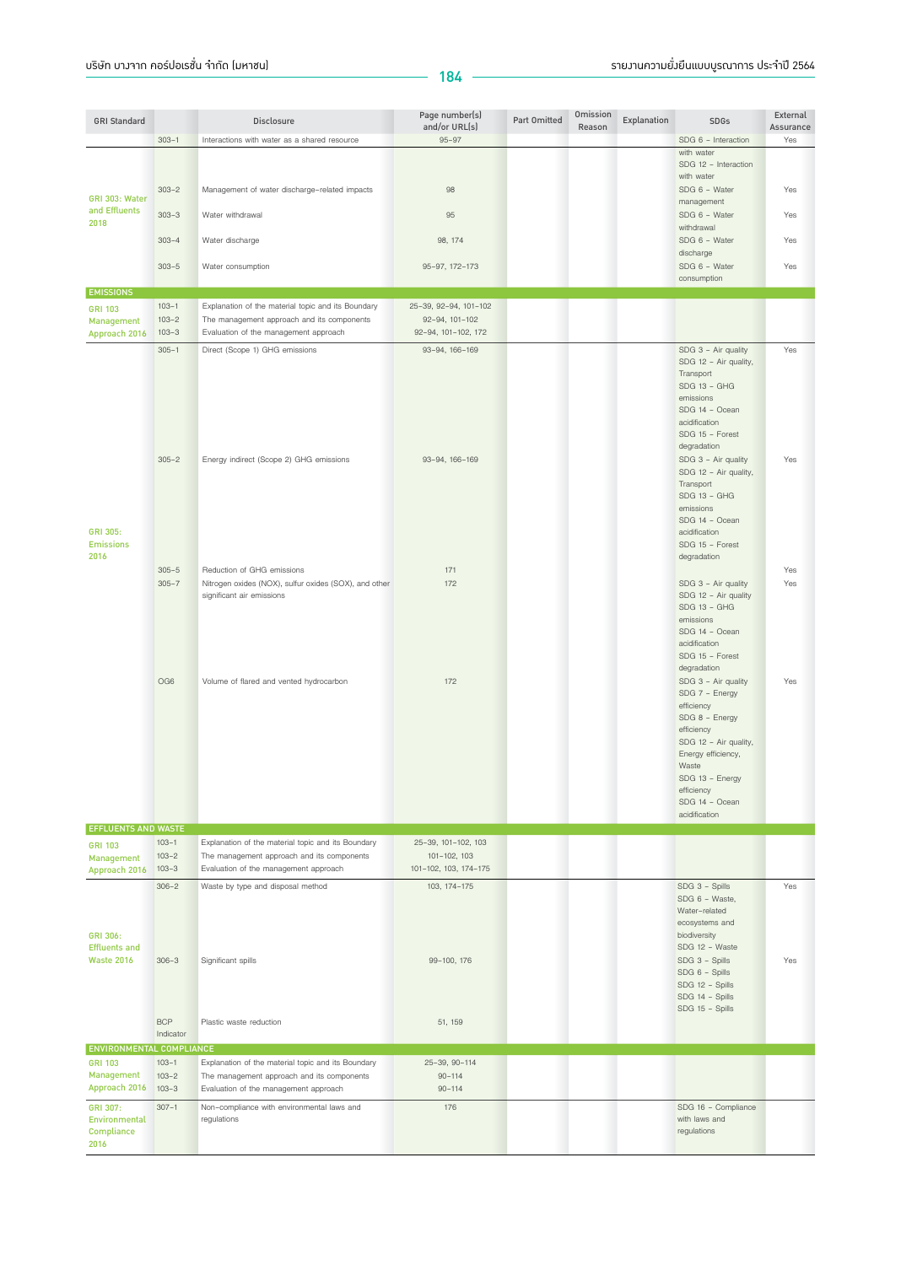| <b>GRI Standard</b>                             |                                     | <b>Disclosure</b>                                                                                                                         | Page number(s)                            | Part Omitted | Omission | Explanation | <b>SDGs</b>                                                                                                                                                                                          | External         |
|-------------------------------------------------|-------------------------------------|-------------------------------------------------------------------------------------------------------------------------------------------|-------------------------------------------|--------------|----------|-------------|------------------------------------------------------------------------------------------------------------------------------------------------------------------------------------------------------|------------------|
|                                                 | $303 - 1$                           | Interactions with water as a shared resource                                                                                              | and/or URL(s)<br>$95 - 97$                |              | Reason   |             | SDG 6 - Interaction                                                                                                                                                                                  | Assurance<br>Yes |
|                                                 |                                     |                                                                                                                                           |                                           |              |          |             | with water<br>SDG 12 - Interaction<br>with water                                                                                                                                                     |                  |
| GRI 303: Water                                  | $303 - 2$                           | Management of water discharge-related impacts                                                                                             | 98                                        |              |          |             | SDG 6 - Water<br>management                                                                                                                                                                          | Yes              |
| and Effluents<br>2018                           | $303 - 3$                           | Water withdrawal                                                                                                                          | 95                                        |              |          |             | SDG 6 - Water<br>withdrawal                                                                                                                                                                          | Yes              |
|                                                 | $303 - 4$                           | Water discharge                                                                                                                           | 98, 174                                   |              |          |             | SDG 6 - Water<br>discharge                                                                                                                                                                           | Yes              |
|                                                 | $303 - 5$                           | Water consumption                                                                                                                         | 95-97, 172-173                            |              |          |             | SDG 6 - Water<br>consumption                                                                                                                                                                         | Yes              |
| <b>EMISSIONS</b>                                |                                     |                                                                                                                                           |                                           |              |          |             |                                                                                                                                                                                                      |                  |
| <b>GRI 103</b>                                  | $103 - 1$                           | Explanation of the material topic and its Boundary                                                                                        | 25-39, 92-94, 101-102                     |              |          |             |                                                                                                                                                                                                      |                  |
| Management                                      | $103 - 2$                           | The management approach and its components                                                                                                | 92-94, 101-102                            |              |          |             |                                                                                                                                                                                                      |                  |
| Approach 2016                                   | $103 - 3$                           | Evaluation of the management approach                                                                                                     | 92-94, 101-102, 172                       |              |          |             |                                                                                                                                                                                                      |                  |
|                                                 | $305 - 1$                           | Direct (Scope 1) GHG emissions                                                                                                            | 93-94, 166-169                            |              |          |             | SDG 3 - Air quality<br>SDG 12 - Air quality,<br>Transport<br>SDG 13 - GHG<br>emissions<br>SDG 14 - Ocean<br>acidification<br>SDG 15 - Forest<br>degradation                                          | Yes              |
| GRI 305:<br><b>Emissions</b><br>2016            | $305 - 2$                           | Energy indirect (Scope 2) GHG emissions                                                                                                   | 93-94, 166-169                            |              |          |             | SDG 3 - Air quality<br>SDG 12 - Air quality,<br>Transport<br>SDG 13 - GHG<br>emissions<br>SDG 14 - Ocean<br>acidification<br>SDG 15 - Forest<br>degradation                                          | Yes              |
|                                                 | $305 - 5$                           | Reduction of GHG emissions                                                                                                                | 171                                       |              |          |             |                                                                                                                                                                                                      | Yes              |
|                                                 | $305 - 7$<br>OG6                    | Nitrogen oxides (NOX), sulfur oxides (SOX), and other<br>significant air emissions<br>Volume of flared and vented hydrocarbon             | 172<br>172                                |              |          |             | SDG 3 - Air quality<br>SDG 12 - Air quality<br>SDG 13 - GHG<br>emissions<br>SDG 14 - Ocean<br>acidification<br>SDG 15 - Forest<br>degradation<br>SDG 3 - Air quality<br>SDG 7 - Energy<br>efficiency | Yes<br>Yes       |
|                                                 |                                     |                                                                                                                                           |                                           |              |          |             | SDG 8 - Energy<br>efficiency<br>SDG 12 - Air quality,<br>Energy efficiency,<br>Waste<br>SDG 13 - Energy<br>efficiency<br>SDG 14 - Ocean<br>acidification                                             |                  |
| <b>EFFLUENTS AND WASTE</b>                      | $103 - 1$                           | Explanation of the material topic and its Boundary                                                                                        | 25-39, 101-102, 103                       |              |          |             |                                                                                                                                                                                                      |                  |
| <b>GRI 103</b><br>Management<br>Approach 2016   | $103 - 2$<br>$103 - 3$              | The management approach and its components<br>Evaluation of the management approach                                                       | 101-102, 103<br>101-102, 103, 174-175     |              |          |             |                                                                                                                                                                                                      |                  |
| GRI 306:                                        | $306 - 2$                           | Waste by type and disposal method                                                                                                         | 103, 174-175                              |              |          |             | SDG 3 - Spills<br>SDG 6 - Waste,<br>Water-related<br>ecosystems and<br>biodiversity                                                                                                                  | Yes              |
| <b>Effluents and</b><br><b>Waste 2016</b>       | $306 - 3$                           | Significant spills                                                                                                                        | 99-100, 176                               |              |          |             | SDG 12 - Waste<br>SDG 3 - Spills<br>SDG 6 - Spills<br>SDG 12 - Spills<br>SDG 14 - Spills<br>SDG 15 - Spills                                                                                          | Yes              |
|                                                 | <b>BCP</b><br>Indicator             | Plastic waste reduction                                                                                                                   | 51, 159                                   |              |          |             |                                                                                                                                                                                                      |                  |
| ENVIRONMENTAL COMPLIANCE                        |                                     |                                                                                                                                           |                                           |              |          |             |                                                                                                                                                                                                      |                  |
| <b>GRI 103</b><br>Management<br>Approach 2016   | $103 - 1$<br>$103 - 2$<br>$103 - 3$ | Explanation of the material topic and its Boundary<br>The management approach and its components<br>Evaluation of the management approach | 25-39, 90-114<br>$90 - 114$<br>$90 - 114$ |              |          |             |                                                                                                                                                                                                      |                  |
| GRI 307:<br>Environmental<br>Compliance<br>2016 | $307 - 1$                           | Non-compliance with environmental laws and<br>regulations                                                                                 | 176                                       |              |          |             | SDG 16 - Compliance<br>with laws and<br>regulations                                                                                                                                                  |                  |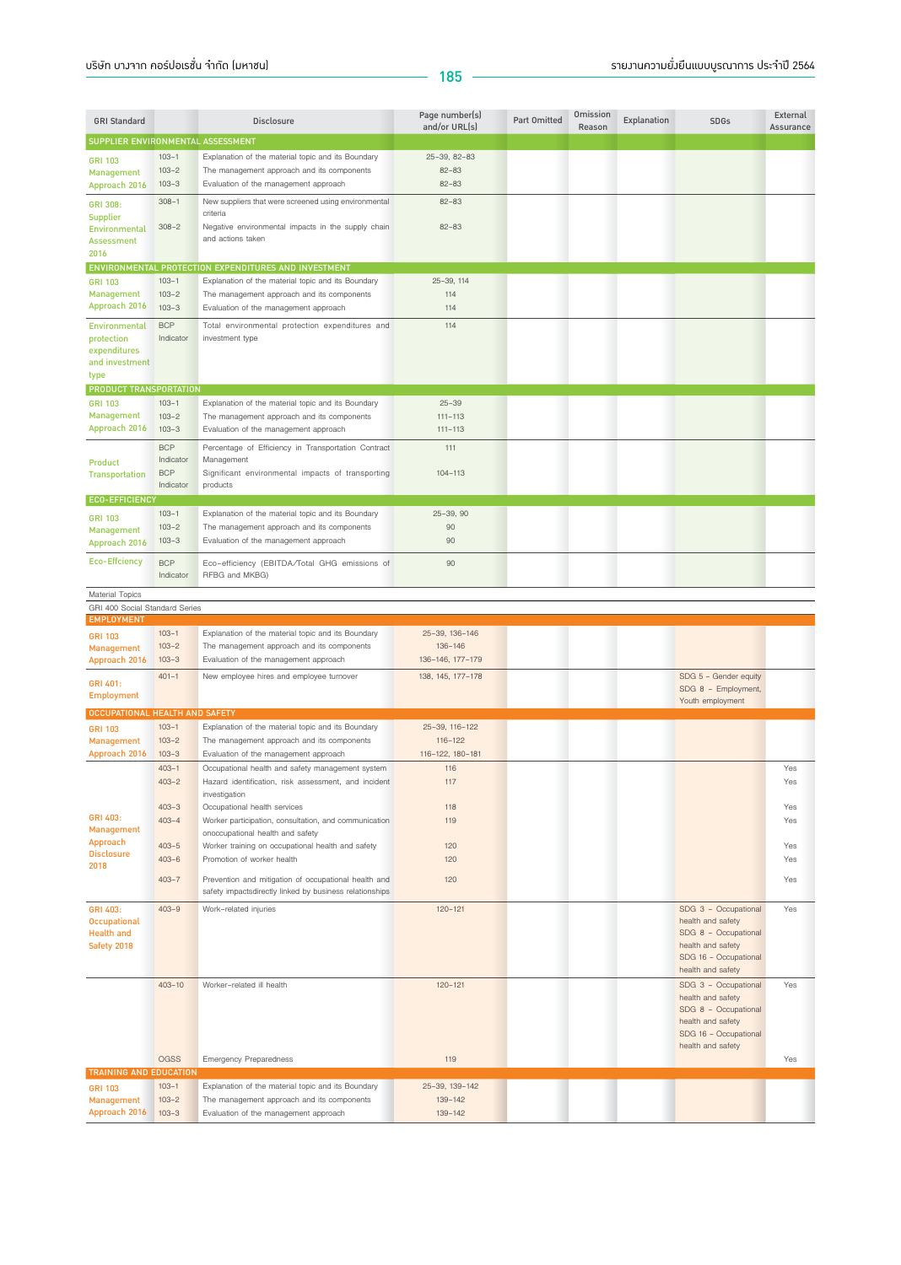| <b>GRI Standard</b>                     |                         | Disclosure                                                            | Page number(s)<br>and/or URL(s) | Part Omitted | Omission<br>Reason | Explanation | <b>SDGs</b>                               | External<br>Assurance |
|-----------------------------------------|-------------------------|-----------------------------------------------------------------------|---------------------------------|--------------|--------------------|-------------|-------------------------------------------|-----------------------|
| SUPPLIER ENVIRONMENTAL ASSESSMENT       |                         |                                                                       |                                 |              |                    |             |                                           |                       |
| <b>GRI 103</b>                          | $103 - 1$               | Explanation of the material topic and its Boundary                    | 25-39, 82-83                    |              |                    |             |                                           |                       |
| Management                              | $103 - 2$               | The management approach and its components                            | $82 - 83$                       |              |                    |             |                                           |                       |
| Approach 2016                           | $103 - 3$               | Evaluation of the management approach                                 | $82 - 83$                       |              |                    |             |                                           |                       |
| GRI 308:                                | $308 - 1$               | New suppliers that were screened using environmental<br>criteria      | $82 - 83$                       |              |                    |             |                                           |                       |
| <b>Supplier</b><br><b>Environmental</b> | $308 - 2$               | Negative environmental impacts in the supply chain                    | $82 - 83$                       |              |                    |             |                                           |                       |
| <b>Assessment</b>                       |                         | and actions taken                                                     |                                 |              |                    |             |                                           |                       |
| 2016                                    |                         |                                                                       |                                 |              |                    |             |                                           |                       |
|                                         |                         | ENVIRONMENTAL PROTECTION EXPENDITURES AND INVESTMENT                  |                                 |              |                    |             |                                           |                       |
| <b>GRI 103</b>                          | $103 - 1$               | Explanation of the material topic and its Boundary                    | 25-39, 114                      |              |                    |             |                                           |                       |
| <b>Management</b>                       | $103 - 2$               | The management approach and its components                            | 114                             |              |                    |             |                                           |                       |
| Approach 2016                           | $103 - 3$               | Evaluation of the management approach                                 | 114                             |              |                    |             |                                           |                       |
| Environmental                           | <b>BCP</b>              | Total environmental protection expenditures and                       | 114                             |              |                    |             |                                           |                       |
| protection                              | Indicator               | investment type                                                       |                                 |              |                    |             |                                           |                       |
| expenditures<br>and investment          |                         |                                                                       |                                 |              |                    |             |                                           |                       |
| type                                    |                         |                                                                       |                                 |              |                    |             |                                           |                       |
| PRODUCT TRANSPORTATION                  |                         |                                                                       |                                 |              |                    |             |                                           |                       |
| <b>GRI 103</b>                          | $103 - 1$               | Explanation of the material topic and its Boundary                    | $25 - 39$                       |              |                    |             |                                           |                       |
| Management                              | $103 - 2$               | The management approach and its components                            | $111 - 113$                     |              |                    |             |                                           |                       |
| Approach 2016                           | $103 - 3$               | Evaluation of the management approach                                 | $111 - 113$                     |              |                    |             |                                           |                       |
|                                         | <b>BCP</b>              | Percentage of Efficiency in Transportation Contract                   | 111                             |              |                    |             |                                           |                       |
| <b>Product</b>                          | Indicator<br><b>BCP</b> | Management                                                            |                                 |              |                    |             |                                           |                       |
| <b>Transportation</b>                   | Indicator               | Significant environmental impacts of transporting<br>products         | 104-113                         |              |                    |             |                                           |                       |
| <b>ECO-EFFICIENCY</b>                   |                         |                                                                       |                                 |              |                    |             |                                           |                       |
| <b>GRI 103</b>                          | $103 - 1$               | Explanation of the material topic and its Boundary                    | $25 - 39, 90$                   |              |                    |             |                                           |                       |
| <b>Management</b>                       | $103 - 2$               | The management approach and its components                            | 90                              |              |                    |             |                                           |                       |
| Approach 2016                           | $103 - 3$               | Evaluation of the management approach                                 | 90                              |              |                    |             |                                           |                       |
| <b>Eco-Effciency</b>                    | <b>BCP</b>              | Eco-efficiency (EBITDA/Total GHG emissions of                         | 90                              |              |                    |             |                                           |                       |
|                                         | Indicator               | RFBG and MKBG)                                                        |                                 |              |                    |             |                                           |                       |
| <b>Material Topics</b>                  |                         |                                                                       |                                 |              |                    |             |                                           |                       |
| GRI 400 Social Standard Series          |                         |                                                                       |                                 |              |                    |             |                                           |                       |
| <b>EMPLOYMENT</b>                       |                         |                                                                       |                                 |              |                    |             |                                           |                       |
| <b>GRI 103</b>                          | $103 - 1$               | Explanation of the material topic and its Boundary                    | 25-39, 136-146                  |              |                    |             |                                           |                       |
| <b>Management</b>                       | $103 - 2$               | The management approach and its components                            | 136-146                         |              |                    |             |                                           |                       |
| Approach 2016                           | $103 - 3$               | Evaluation of the management approach                                 | 136-146, 177-179                |              |                    |             |                                           |                       |
| GRI 401:                                | $401 - 1$               | New employee hires and employee turnover                              | 138, 145, 177-178               |              |                    |             | SDG 5 - Gender equity                     |                       |
| <b>Employment</b>                       |                         |                                                                       |                                 |              |                    |             | SDG 8 - Employment,<br>Youth employment   |                       |
| OCCUPATIONAL HEALTH AND SAFETY          |                         |                                                                       |                                 |              |                    |             |                                           |                       |
| <b>GRI 103</b>                          | $103 - 1$               | Explanation of the material topic and its Boundary                    | 25-39, 116-122                  |              |                    |             |                                           |                       |
| <b>Management</b>                       | $103 - 2$               | The management approach and its components                            | $116 - 122$                     |              |                    |             |                                           |                       |
| Approach 2016                           | $103 - 3$               | Evaluation of the management approach                                 | 116-122, 180-181                |              |                    |             |                                           |                       |
|                                         | $403 - 1$               | Occupational health and safety management system                      | 116                             |              |                    |             |                                           | Yes                   |
|                                         | $403 - 2$               | Hazard identification, risk assessment, and incident<br>investigation | 117                             |              |                    |             |                                           | Yes                   |
|                                         | $403 - 3$               | Occupational health services                                          | 118                             |              |                    |             |                                           | Yes                   |
| GRI 403:                                | $403 - 4$               | Worker participation, consultation, and communication                 | 119                             |              |                    |             |                                           | Yes                   |
| <b>Management</b>                       |                         | onoccupational health and safety                                      |                                 |              |                    |             |                                           |                       |
| Approach<br><b>Disclosure</b>           | $403 - 5$               | Worker training on occupational health and safety                     | 120                             |              |                    |             |                                           | Yes                   |
| 2018                                    | $403 - 6$               | Promotion of worker health                                            | 120                             |              |                    |             |                                           | Yes                   |
|                                         | $403 - 7$               | Prevention and mitigation of occupational health and                  | 120                             |              |                    |             |                                           | Yes                   |
|                                         |                         | safety impactsdirectly linked by business relationships               |                                 |              |                    |             |                                           |                       |
| GRI 403:                                | $403 - 9$               | Work-related injuries                                                 | $120 - 121$                     |              |                    |             | SDG 3 - Occupational                      | Yes                   |
| <b>Occupational</b>                     |                         |                                                                       |                                 |              |                    |             | health and safety                         |                       |
| <b>Health and</b><br>Safety 2018        |                         |                                                                       |                                 |              |                    |             | SDG 8 - Occupational<br>health and safety |                       |
|                                         |                         |                                                                       |                                 |              |                    |             | SDG 16 - Occupational                     |                       |
|                                         |                         |                                                                       |                                 |              |                    |             | health and safety                         |                       |
|                                         | $403 - 10$              | Worker-related ill health                                             | $120 - 121$                     |              |                    |             | SDG 3 - Occupational                      | Yes                   |
|                                         |                         |                                                                       |                                 |              |                    |             | health and safety                         |                       |
|                                         |                         |                                                                       |                                 |              |                    |             | SDG 8 - Occupational<br>health and safety |                       |
|                                         |                         |                                                                       |                                 |              |                    |             | SDG 16 - Occupational                     |                       |
|                                         |                         |                                                                       |                                 |              |                    |             | health and safety                         |                       |
|                                         | <b>OGSS</b>             | <b>Emergency Preparedness</b>                                         | 119                             |              |                    |             |                                           | Yes                   |
| <b>TRAINING AND EDUCATION</b>           | $103 - 1$               | Explanation of the material topic and its Boundary                    | 25-39, 139-142                  |              |                    |             |                                           |                       |
| <b>GRI 103</b><br><b>Management</b>     | $103 - 2$               | The management approach and its components                            | 139-142                         |              |                    |             |                                           |                       |
| Approach 2016                           | $103 - 3$               | Evaluation of the management approach                                 | 139-142                         |              |                    |             |                                           |                       |
|                                         |                         |                                                                       |                                 |              |                    |             |                                           |                       |